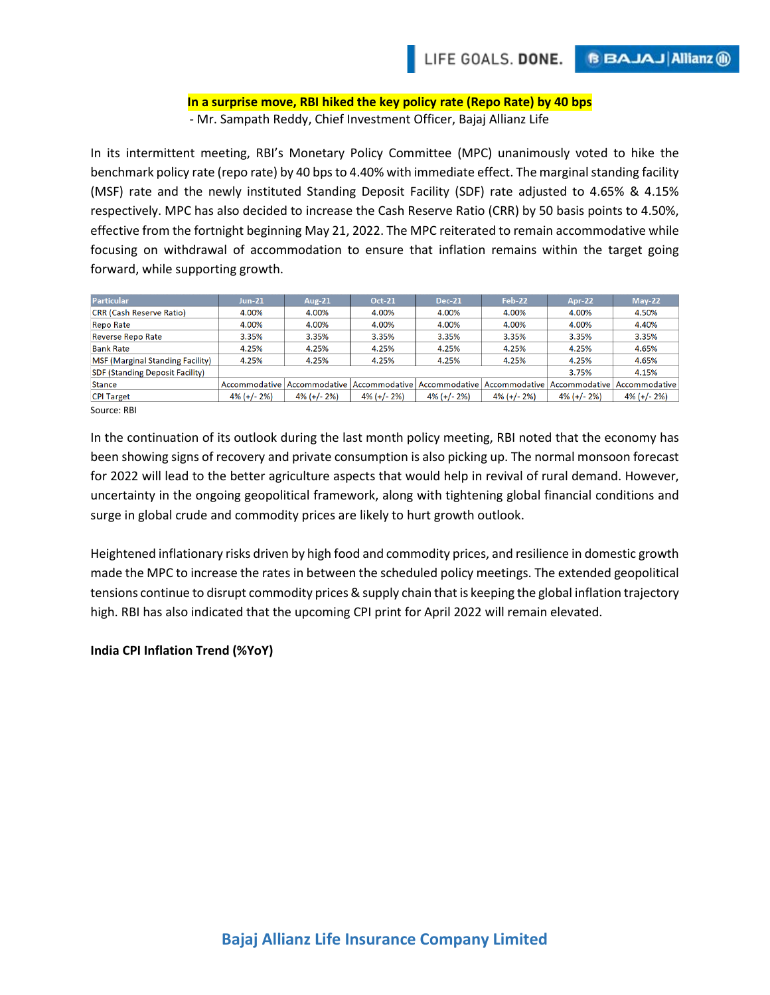## **In a surprise move, RBI hiked the key policy rate (Repo Rate) by 40 bps** - Mr. Sampath Reddy, Chief Investment Officer, Bajaj Allianz Life

In its intermittent meeting, RBI's Monetary Policy Committee (MPC) unanimously voted to hike the benchmark policy rate (repo rate) by 40 bps to 4.40% with immediate effect. The marginal standing facility (MSF) rate and the newly instituted Standing Deposit Facility (SDF) rate adjusted to 4.65% & 4.15% respectively. MPC has also decided to increase the Cash Reserve Ratio (CRR) by 50 basis points to 4.50%, effective from the fortnight beginning May 21, 2022. The MPC reiterated to remain accommodative while focusing on withdrawal of accommodation to ensure that inflation remains within the target going forward, while supporting growth.

| Particular                              | <b>Jun-21</b>  | Aug-21         | <b>Oct-21</b>  | $Dec-21$       | <b>Feb-22</b>                 | Apr-22         | $Mav-22$       |
|-----------------------------------------|----------------|----------------|----------------|----------------|-------------------------------|----------------|----------------|
| <b>CRR (Cash Reserve Ratio)</b>         | 4.00%          | 4.00%          | 4.00%          | 4.00%          | 4.00%                         | 4.00%          | 4.50%          |
| Repo Rate                               | 4.00%          | 4.00%          | 4.00%          | 4.00%          | 4.00%                         | 4.00%          | 4.40%          |
| <b>Reverse Repo Rate</b>                | 3.35%          | 3.35%          | 3.35%          | 3.35%          | 3.35%                         | 3.35%          | 3.35%          |
| <b>Bank Rate</b>                        | 4.25%          | 4.25%          | 4.25%          | 4.25%          | 4.25%                         | 4.25%          | 4.65%          |
| <b>MSF (Marginal Standing Facility)</b> | 4.25%          | 4.25%          | 4.25%          | 4.25%          | 4.25%                         | 4.25%          | 4.65%          |
| <b>SDF (Standing Deposit Facility)</b>  |                |                |                |                |                               | 3.75%          | 4.15%          |
| <b>Stance</b>                           | Accommodative  | Accommodative  | Accommodative  |                | Accommodative   Accommodative | Accommodative  | Accommodative  |
| <b>CPI Target</b>                       | $4\%$ (+/- 2%) | $4\%$ (+/- 2%) | $4\%$ (+/- 2%) | $4\%$ (+/- 2%) | $4\%$ (+/- 2%)                | $4\%$ (+/- 2%) | $4\%$ (+/- 2%) |
| Source: RBI                             |                |                |                |                |                               |                |                |

In the continuation of its outlook during the last month policy meeting, RBI noted that the economy has been showing signs of recovery and private consumption is also picking up. The normal monsoon forecast for 2022 will lead to the better agriculture aspects that would help in revival of rural demand. However, uncertainty in the ongoing geopolitical framework, along with tightening global financial conditions and surge in global crude and commodity prices are likely to hurt growth outlook.

Heightened inflationary risks driven by high food and commodity prices, and resilience in domestic growth made the MPC to increase the rates in between the scheduled policy meetings. The extended geopolitical tensions continue to disrupt commodity prices & supply chain that is keeping the global inflation trajectory high. RBI has also indicated that the upcoming CPI print for April 2022 will remain elevated.

## **India CPI Inflation Trend (%YoY)**